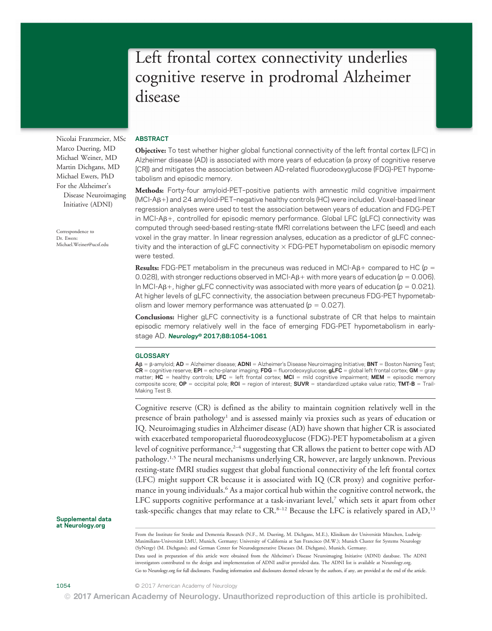# Left frontal cortex connectivity underlies cognitive reserve in prodromal Alzheimer disease

Nicolai Franzmeier, MSc Marco Duering, MD Michael Weiner, MD Martin Dichgans, MD Michael Ewers, PhD For the Alzheimer's Disease Neuroimaging Initiative (ADNI)

Correspondence to Dr. Ewers: [Michael.Weiner@ucsf.edu](mailto:Michael.Weiner@ucsf.edu)

### ABSTRACT

Objective: To test whether higher global functional connectivity of the left frontal cortex (LFC) in Alzheimer disease (AD) is associated with more years of education (a proxy of cognitive reserve [CR]) and mitigates the association between AD-related fluorodeoxyglucose (FDG)-PET hypometabolism and episodic memory.

Methods: Forty-four amyloid-PET–positive patients with amnestic mild cognitive impairment  $(MCl-AB+)$  and 24 amyloid-PET-negative healthy controls (HC) were included. Voxel-based linear regression analyses were used to test the association between years of education and FDG-PET in MCI-A $\beta$ +, controlled for episodic memory performance. Global LFC (gLFC) connectivity was computed through seed-based resting-state fMRI correlations between the LFC (seed) and each voxel in the gray matter. In linear regression analyses, education as a predictor of gLFC connectivity and the interaction of gLFC connectivity  $\times$  FDG-PET hypometabolism on episodic memory were tested.

**Results:** FDG-PET metabolism in the precuneus was reduced in MCI-A<sub>B</sub>+ compared to HC ( $p =$ 0.028), with stronger reductions observed in MCI-A $\beta$ + with more years of education (p = 0.006). In MCI-A $\beta$ +, higher gLFC connectivity was associated with more years of education ( $p = 0.021$ ). At higher levels of gLFC connectivity, the association between precuneus FDG-PET hypometabolism and lower memory performance was attenuated ( $p = 0.027$ ).

**Conclusions:** Higher gLFC connectivity is a functional substrate of CR that helps to maintain episodic memory relatively well in the face of emerging FDG-PET hypometabolism in earlystage AD. Neurology® 2017;88:1054–<sup>1061</sup>

#### **GLOSSARY**

 $AB = \beta$ -amyloid; AD = Alzheimer disease; ADNI = Alzheimer's Disease Neuroimaging Initiative; BNT = Boston Naming Test;  $CR =$  cognitive reserve; EPI = echo-planar imaging; FDG = fluorodeoxyglucose; gLFC = global left frontal cortex; GM = gray matter; HC = healthy controls; LFC = left frontal cortex; MCI = mild cognitive impairment; MEM = episodic memory composite score; OP = occipital pole; ROI = region of interest; SUVR = standardized uptake value ratio; TMT-B = Trail-Making Test B.

Cognitive reserve (CR) is defined as the ability to maintain cognition relatively well in the presence of brain pathology1 and is assessed mainly via proxies such as years of education or IQ. Neuroimaging studies in Alzheimer disease (AD) have shown that higher CR is associated with exacerbated temporoparietal fluorodeoxyglucose (FDG)-PET hypometabolism at a given level of cognitive performance,<sup>2-4</sup> suggesting that CR allows the patient to better cope with AD pathology.<sup>1,5</sup> The neural mechanisms underlying CR, however, are largely unknown. Previous resting-state fMRI studies suggest that global functional connectivity of the left frontal cortex (LFC) might support CR because it is associated with IQ (CR proxy) and cognitive performance in young individuals.<sup>6</sup> As a major cortical hub within the cognitive control network, the LFC supports cognitive performance at a task-invariant level, $7$  which sets it apart from other task-specific changes that may relate to  $CR^{8-12}$  Because the LFC is relatively spared in AD,<sup>13</sup>

Supplemental data at [Neurology.org](http://neurology.org/lookup/doi/10.1212/WNL.0000000000003711)

> From the Institute for Stroke and Dementia Research (N.F., M. Duering, M. Dichgans, M.E.), Klinikum der Universität München, Ludwig-Maximilians-Universität LMU, Munich, Germany; University of California at San Francisco (M.W.); Munich Cluster for Systems Neurology (SyNergy) (M. Dichgans); and German Center for Neurodegenerative Diseases (M. Dichgans), Munich, Germany. Data used in preparation of this article were obtained from the Alzheimer's Disease Neuroimaging Initiative (ADNI) database. The ADNI

> investigators contributed to the design and implementation of ADNI and/or provided data. The ADNI list is available at [Neurology.org.](http://neurology.org/lookup/doi/10.1212/WNL.0000000000003711) Go to [Neurology.org](http://neurology.org/lookup/doi/10.1212/WNL.0000000000003711) for full disclosures. Funding information and disclosures deemed relevant by the authors, if any, are provided at the end of the article.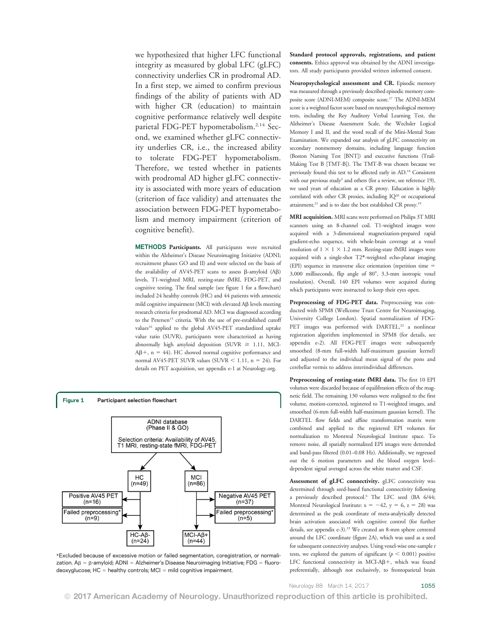we hypothesized that higher LFC functional integrity as measured by global LFC (gLFC) connectivity underlies CR in prodromal AD. In a first step, we aimed to confirm previous findings of the ability of patients with AD with higher CR (education) to maintain cognitive performance relatively well despite parietal FDG-PET hypometabolism.<sup>2,14</sup> Second, we examined whether gLFC connectivity underlies CR, i.e., the increased ability to tolerate FDG-PET hypometabolism. Therefore, we tested whether in patients with prodromal AD higher gLFC connectivity is associated with more years of education (criterion of face validity) and attenuates the association between FDG-PET hypometabolism and memory impairment (criterion of cognitive benefit).

METHODS Participants. All participants were recruited within the Alzheimer's Disease Neuroimaging Initiative (ADNI; recruitment phases GO and II) and were selected on the basis of the availability of AV45-PET scans to assess  $\beta$ -amyloid (A $\beta$ ) levels, T1-weighted MRI, resting-state fMRI, FDG-PET, and cognitive testing. The final sample (see figure 1 for a flowchart) included 24 healthy controls (HC) and 44 patients with amnestic mild cognitive impairment (MCI) with elevated  $\text{A}\beta$  levels meeting research criteria for prodromal AD. MCI was diagnosed according to the Petersen<sup>15</sup> criteria. With the use of pre-established cutoff values<sup>16</sup> applied to the global AV45-PET standardized uptake value ratio (SUVR), participants were characterized as having abnormally high amyloid deposition (SUVR  $\geq$  1.11, MCI- $A\beta +$ , n = 44). HC showed normal cognitive performance and normal AV45-PET SUVR values (SUVR  $<$  1.11, n = 24). For details on PET acquisition, see appendix e-1 at [Neurology.org](http://neurology.org/lookup/doi/10.1212/WNL.0000000000003711).



\*Excluded because of excessive motion or failed segmentation, coregistration, or normalization.  $A\beta = \beta$ -amyloid; ADNI = Alzheimer's Disease Neuroimaging Initiative; FDG = fluorodeoxyglucose;  $HC =$  healthy controls;  $MCI =$  mild cognitive impairment.

Standard protocol approvals, registrations, and patient consents. Ethics approval was obtained by the ADNI investigators. All study participants provided written informed consent.

Neuropsychological assessment and CR. Episodic memory was measured through a previously described episodic memory composite score (ADNI-MEM) composite score.17 The ADNI-MEM score is a weighted factor score based on neuropsychological memory tests, including the Rey Auditory Verbal Learning Test, the Alzheimer's Disease Assessment Scale, the Wechsler Logical Memory I and II, and the word recall of the Mini-Mental State Examination. We expanded our analysis of gLFC connectivity on secondary nonmemory domains, including language function (Boston Naming Test [BNT]) and executive functions (Trail-Making Test B [TMT-B]). The TMT-B was chosen because we previously found this test to be affected early in AD.18 Consistent with our previous study<sup>2</sup> and others (for a review, see reference 19), we used years of education as a CR proxy. Education is highly correlated with other CR proxies, including  $IQ^{20}$  or occupational attainment, $^{21}$  and is to date the best established CR proxy.<sup>19</sup>

MRI acquisition. MRI scans were performed on Philips 3T MRI scanners using an 8-channel coil. T1-weighted images were acquired with a 3-dimensional magnetization-prepared rapid gradient-echo sequence, with whole-brain coverage at a voxel resolution of  $1 \times 1 \times 1.2$  mm. Resting-state fMRI images were acquired with a single-shot T2\*-weighted echo-planar imaging  $(EPI)$  sequence in transverse slice orientation (repetition time  $=$  $3,000$  milliseconds, flip angle of  $80^\circ$ ,  $3.3$ -mm isotropic voxel resolution). Overall, 140 EPI volumes were acquired during which participants were instructed to keep their eyes open.

Preprocessing of FDG-PET data. Preprocessing was conducted with SPM8 (Wellcome Trust Centre for Neuroimaging, University College London). Spatial normalization of FDG-PET images was performed with DARTEL,<sup>22</sup> a nonlinear registration algorithm implemented in SPM8 (for details, see appendix e-2). All FDG-PET images were subsequently smoothed (8-mm full-width half-maximum gaussian kernel) and adjusted to the individual mean signal of the pons and cerebellar vermis to address interindividual differences.

Preprocessing of resting-state fMRI data. The first 10 EPI volumes were discarded because of equilibration effects of the magnetic field. The remaining 130 volumes were realigned to the first volume, motion-corrected, registered to T1-weighted images, and smoothed (6-mm full-width half-maximum gaussian kernel). The DARTEL flow fields and affine transformation matrix were combined and applied to the registered EPI volumes for normalization to Montreal Neurological Institute space. To remove noise, all spatially normalized EPI images were detrended and band-pass filtered (0.01–0.08 Hz). Additionally, we regressed out the 6 motion parameters and the blood oxygen level– dependent signal averaged across the white matter and CSF.

Assessment of gLFC connectivity. gLFC connectivity was determined through seed-based functional connectivity following a previously described protocol.6 The LFC seed (BA 6/44; Montreal Neurological Institute:  $x = -42$ ,  $y = 6$ ,  $z = 28$ ) was determined as the peak coordinate of meta-analytically detected brain activation associated with cognitive control (for further details, see appendix e-3).<sup>23</sup> We created an 8-mm sphere centered around the LFC coordinate (figure 2A), which was used as a seed for subsequent connectivity analyses. Using voxel-wise one-sample  $t$ tests, we explored the pattern of significant ( $p < 0.001$ ) positive LFC functional connectivity in MCI-A $\beta$ +, which was found preferentially, although not exclusively, to frontoparietal brain

Neurology 88 March 14, 2017 1055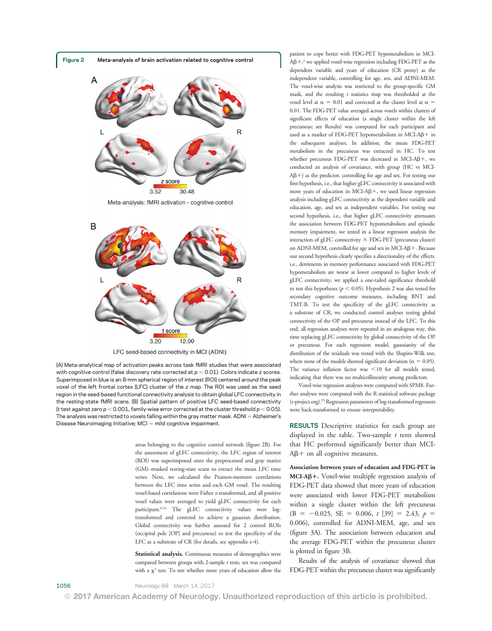

Meta-analysis: fMRI activation - cognitive control



LFC seed-based connectivity in MCI (ADNI)

(A) Meta-analytical map of activation peaks across task fMRI studies that were associated with cognitive control (false discovery rate corrected at  $p < 0.01$ ). Colors indicate z scores. Superimposed in blue is an 8-mm spherical region of interest (ROI) centered around the peak voxel of the left frontal cortex (LFC) cluster of the z map. The ROI was used as the seed region in the seed-based functional connectivity analysis to obtain global LFC connectivity in the resting-state fMRI scans. (B) Spatial pattern of positive LFC seed-based connectivity (t test against zero  $p < 0.001$ , family-wise error corrected at the cluster threshold  $p < 0.05$ ). The analysis was restricted to voxels falling within the gray matter mask. ADNI = Alzheimer's Disease Neuroimaging Initiative; MCI = mild cognitive impairment.

areas belonging to the cognitive control network (figure 2B). For the assessment of gLFC connectivity, the LFC region of interest (ROI) was superimposed onto the preprocessed and gray matter (GM)–masked resting-state scans to extract the mean LFC time series. Next, we calculated the Pearson-moment correlations between the LFC time series and each GM voxel. The resulting voxel-based correlations were Fisher z-transformed, and all positive voxel values were averaged to yield gLFC connectivity for each participant.<sup>6,24</sup> The gLFC connectivity values were logtransformed and centered to achieve a gaussian distribution. Global connectivity was further assessed for 2 control ROIs (occipital pole [OP] and precuneus) to test the specificity of the LFC as a substrate of CR (for details, see appendix e-4).

Statistical analysis. Continuous measures of demographics were compared between groups with 2-sample  $t$  tests; sex was compared with a  $\chi^2$  test. To test whether more years of education allow the

patient to cope better with FDG-PET hypometabolism in MCI- $\text{A}\beta +$ ,<sup>2</sup> we applied voxel-wise regression including FDG-PET as the dependent variable and years of education (CR proxy) as the independent variable, controlling for age, sex, and ADNI-MEM. The voxel-wise analysis was restricted to the group-specific GM mask, and the resulting  $t$  statistics map was thresholded at the voxel level at  $\alpha = 0.01$  and corrected at the cluster level at  $\alpha =$ 0.01. The FDG-PET value averaged across voxels within clusters of significant effects of education (a single cluster within the left precuneus; see Results) was computed for each participant and used as a marker of FDG-PET hypometabolism in MCI-A $\beta$ + in the subsequent analyses. In addition, the mean FDG-PET metabolism in the precuneus was extracted in HC. To test whether precuneus FDG-PET was decreased in MCI-A $\beta$ +, we conducted an analysis of covariance, with group (HC vs MCI- $A\beta$ +) as the predictor, controlling for age and sex. For testing our first hypothesis, i.e., that higher gLFC connectivity is associated with more years of education in MCI-A $\beta$ +, we used linear regression analysis including gLFC connectivity as the dependent variable and education, age, and sex as independent variables. For testing our second hypothesis, i.e., that higher gLFC connectivity attenuates the association between FDG-PET hypometabolism and episodic memory impairment, we tested in a linear regression analysis the interaction of gLFC connectivity  $\times$  FDG-PET (precuneus cluster) on ADNI-MEM, controlled for age and sex in MCI-A $\beta$ +. Because our second hypothesis clearly specifies a directionality of the effects, i.e., detriments in memory performance associated with FDG-PET hypometabolism are worse at lower compared to higher levels of gLFC connectivity, we applied a one-tailed significance threshold to test this hypotheses ( $p < 0.05$ ). Hypothesis 2 was also tested for secondary cognitive outcome measures, including BNT and TMT-B. To test the specificity of the gLFC connectivity as a substrate of CR, we conducted control analyses testing global connectivity of the OP and precuneus instead of the LFC. To this end, all regression analyses were repeated in an analogous way, this time replacing gLFC connectivity by global connectivity of the OP or precuneus. For each regression model, gaussianity of the distribution of the residuals was tested with the Shapiro-Wilk test, where none of the models showed significant deviation ( $\alpha = 0.05$ ). The variance inflation factor was  $\leq 10$  for all models tested, indicating that there was no multicollinearity among predictors.

Voxel-wise regression analyses were computed with SPM8. Further analyses were computed with the R statistical software package ([r-project.org\)](http://www.r-project.org/).<sup>25</sup> Regression parameters of log-transformed regressors were back-transformed to ensure interpretability.

RESULTS Descriptive statistics for each group are displayed in the table. Two-sample  $t$  tests showed that HC performed significantly better than MCI- $A\beta$  + on all cognitive measures.

Association between years of education and FDG-PET in  $MCI-A\beta+$ . Voxel-wise multiple regression analysis of FDG-PET data showed that more years of education were associated with lower FDG-PET metabolism within a single cluster within the left precuneus  $(B = -0.025, SE = 0.006, t [39] = 2.43, p = 1$ 0.006), controlled for ADNI-MEM, age, and sex (figure 3A). The association between education and the average FDG-PET within the precuneus cluster is plotted in figure 3B.

Results of the analysis of covariance showed that FDG-PET within the precuneus cluster was significantly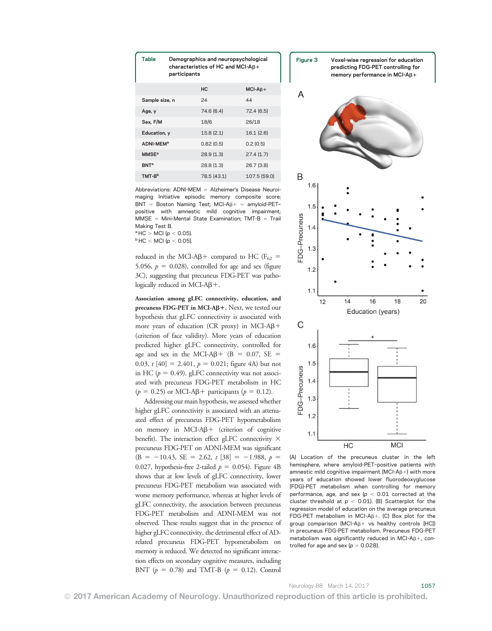| Table                   | Demographics and neuropsychological<br>characteristics of HC and MCI-A $\beta$ +<br>participants |             |               |
|-------------------------|--------------------------------------------------------------------------------------------------|-------------|---------------|
|                         |                                                                                                  | нc          | $MCI-A\beta+$ |
| Sample size, n          |                                                                                                  | 24          | 44            |
| Age, y                  |                                                                                                  | 74.6 (6.4)  | 72.4 (6.5)    |
| Sex. F/M                |                                                                                                  | 18/6        | 26/18         |
| Education, y            |                                                                                                  | 15.8 (2.1)  | 16.1 (2.6)    |
| ADNI-MEM <sup>a</sup>   |                                                                                                  | 0.82(0.5)   | 0.2(0.5)      |
| <b>MMSE<sup>a</sup></b> |                                                                                                  | 28.9(1.3)   | 27.4(1.7)     |
| BNT <sup>a</sup>        |                                                                                                  | 28.8 (1.3)  | 26.7(3.8)     |
| TMT-B <sup>b</sup>      |                                                                                                  | 78.5 (43.1) | 107.5 (59.0)  |

Abbreviations:  $ADNI-MEM = Alzheimer's Disease Neuroi$ maging Initiative episodic memory composite score;  $BNT = Boston$  Naming Test; MCI-A $\beta$ + = amyloid-PETpositive with amnestic mild cognitive impairment;  $MMSE = Mini-Mental State Examination; TMT-B = Train$ Making Test B.

 $a$  HC  $>$  MCI (p  $<$  0.05).

 $^{\rm b}$  HC  $<$  MCI (p  $<$  0.05).

reduced in the MCI-A $\beta$ + compared to HC (F<sub>62</sub> = 5.056,  $p = 0.028$ ), controlled for age and sex (figure 3C), suggesting that precuneus FDG-PET was pathologically reduced in MCI- $A\beta$ +.

Association among gLFC connectivity, education, and precuneus FDG-PET in MCI-A $\beta$ +. Next, we tested our hypothesis that gLFC connectivity is associated with more years of education (CR proxy) in MCI-A $\beta$ + (criterion of face validity). More years of education predicted higher gLFC connectivity, controlled for age and sex in the MCI-A $\beta$ + (B = 0.07, SE = 0.03,  $t$  [40] = 2.401,  $p = 0.021$ ; figure 4A) but not in HC ( $p = 0.49$ ). gLFC connectivity was not associated with precuneus FDG-PET metabolism in HC  $(p = 0.25)$  or MCI-A $\beta$ + participants  $(p = 0.12)$ .

Addressing our main hypothesis, we assessed whether higher gLFC connectivity is associated with an attenuated effect of precuneus FDG-PET hypometabolism on memory in MCI- $A\beta$ <sup>+</sup> (criterion of cognitive benefit). The interaction effect gLFC connectivity  $\times$ precuneus FDG-PET on ADNI-MEM was significant  $(B = -10.43, SE = 2.62, t [38] = -1.988, p =$ 0.027, hypothesis-free 2-tailed  $p = 0.054$ ). Figure 4B shows that at low levels of gLFC connectivity, lower precuneus FDG-PET metabolism was associated with worse memory performance, whereas at higher levels of gLFC connectivity, the association between precuneus FDG-PET metabolism and ADNI-MEM was not observed. These results suggest that in the presence of higher gLFC connectivity, the detrimental effect of ADrelated precuneus FDG-PET hypometabolism on memory is reduced. We detected no significant interaction effects on secondary cognitive measures, including BNT ( $p = 0.78$ ) and TMT-B ( $p = 0.12$ ). Control



(A) Location of the precuneus cluster in the left hemisphere, where amyloid-PET–positive patients with amnestic mild cognitive impairment ( $MCI-A\beta+$ ) with more years of education showed lower fluorodeoxyglucose (FDG)-PET metabolism when controlling for memory performance, age, and sex ( $p < 0.01$  corrected at the cluster threshold at  $p < 0.01$ ). (B) Scatterplot for the regression model of education on the average precuneus FDG-PET metabolism in MCI-A $\beta$ +. (C) Box plot for the group comparison (MCI-A $\beta$ + vs healthy controls [HC]) in precuneus FDG-PET metabolism. Precuneus FDG-PET metabolism was significantly reduced in MCI-A $\beta$ +, controlled for age and sex ( $p = 0.028$ ).

© 2017 American Academy of Neurology. Unauthorized reproduction of this article is prohibited.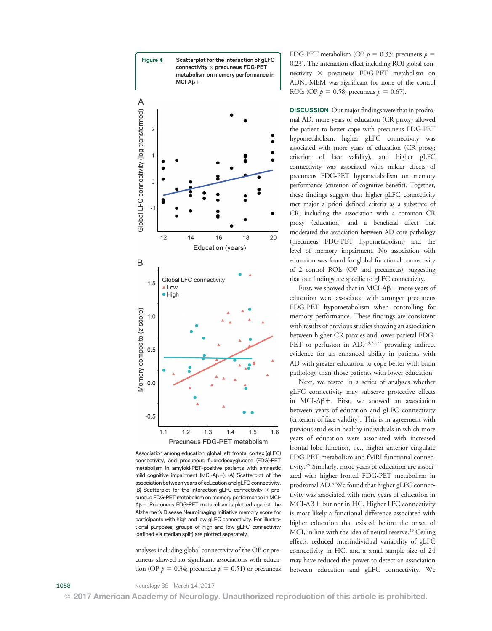

Association among education, global left frontal cortex (gLFC) connectivity, and precuneus fluorodeoxyglucose (FDG)-PET metabolism in amyloid-PET–positive patients with amnestic mild cognitive impairment (MCI-A $\beta$ +). (A) Scatterplot of the association between years of education and gLFC connectivity. (B) Scatterplot for the interaction gLFC connectivity  $\times$  precuneus FDG-PET metabolism on memory performance in MCI- $A\beta+$ . Precuneus FDG-PET metabolism is plotted against the Alzheimer's Disease Neuroimaging Initiative memory score for participants with high and low gLFC connectivity. For illustrational purposes, groups of high and low gLFC connectivity (defined via median split) are plotted separately.

analyses including global connectivity of the OP or precuneus showed no significant associations with education (OP  $p = 0.34$ ; precuneus  $p = 0.51$ ) or precuneus FDG-PET metabolism (OP  $p = 0.33$ ; precuneus  $p =$ 0.23). The interaction effect including ROI global connectivity  $\times$  precuneus FDG-PET metabolism on ADNI-MEM was significant for none of the control ROIs (OP  $p = 0.58$ ; precuneus  $p = 0.67$ ).

DISCUSSION Our major findings were that in prodromal AD, more years of education (CR proxy) allowed the patient to better cope with precuneus FDG-PET hypometabolism, higher gLFC connectivity was associated with more years of education (CR proxy; criterion of face validity), and higher gLFC connectivity was associated with milder effects of precuneus FDG-PET hypometabolism on memory performance (criterion of cognitive benefit). Together, these findings suggest that higher gLFC connectivity met major a priori defined criteria as a substrate of CR, including the association with a common CR proxy (education) and a beneficial effect that moderated the association between AD core pathology (precuneus FDG-PET hypometabolism) and the level of memory impairment. No association with education was found for global functional connectivity of 2 control ROIs (OP and precuneus), suggesting that our findings are specific to gLFC connectivity.

First, we showed that in MCI-A $\beta$ + more years of education were associated with stronger precuneus FDG-PET hypometabolism when controlling for memory performance. These findings are consistent with results of previous studies showing an association between higher CR proxies and lower parietal FDG-PET or perfusion in AD,<sup>2,5,26,27</sup> providing indirect evidence for an enhanced ability in patients with AD with greater education to cope better with brain pathology than those patients with lower education.

Next, we tested in a series of analyses whether gLFC connectivity may subserve protective effects in MCI-A $\beta$ +. First, we showed an association between years of education and gLFC connectivity (criterion of face validity). This is in agreement with previous studies in healthy individuals in which more years of education were associated with increased frontal lobe function, i.e., higher anterior cingulate FDG-PET metabolism and fMRI functional connectivity.28 Similarly, more years of education are associated with higher frontal FDG-PET metabolism in prodromal AD.3 We found that higher gLFC connectivity was associated with more years of education in  $MCI-A\beta+$  but not in HC. Higher LFC connectivity is most likely a functional difference associated with higher education that existed before the onset of MCI, in line with the idea of neural reserve.<sup>29</sup> Ceiling effects, reduced interindividual variability of gLFC connectivity in HC, and a small sample size of 24 may have reduced the power to detect an association between education and gLFC connectivity. We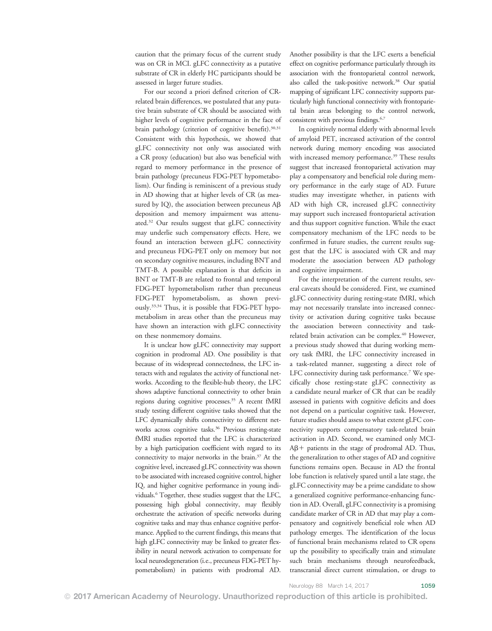caution that the primary focus of the current study was on CR in MCI. gLFC connectivity as a putative substrate of CR in elderly HC participants should be assessed in larger future studies.

For our second a priori defined criterion of CRrelated brain differences, we postulated that any putative brain substrate of CR should be associated with higher levels of cognitive performance in the face of brain pathology (criterion of cognitive benefit).<sup>30,31</sup> Consistent with this hypothesis, we showed that gLFC connectivity not only was associated with a CR proxy (education) but also was beneficial with regard to memory performance in the presence of brain pathology (precuneus FDG-PET hypometabolism). Our finding is reminiscent of a previous study in AD showing that at higher levels of CR (as measured by IQ), the association between precuneus  $A\beta$ deposition and memory impairment was attenuated.32 Our results suggest that gLFC connectivity may underlie such compensatory effects. Here, we found an interaction between gLFC connectivity and precuneus FDG-PET only on memory but not on secondary cognitive measures, including BNT and TMT-B. A possible explanation is that deficits in BNT or TMT-B are related to frontal and temporal FDG-PET hypometabolism rather than precuneus FDG-PET hypometabolism, as shown previously.33,34 Thus, it is possible that FDG-PET hypometabolism in areas other than the precuneus may have shown an interaction with gLFC connectivity on these nonmemory domains.

It is unclear how gLFC connectivity may support cognition in prodromal AD. One possibility is that because of its widespread connectedness, the LFC interacts with and regulates the activity of functional networks. According to the flexible-hub theory, the LFC shows adaptive functional connectivity to other brain regions during cognitive processes.<sup>35</sup> A recent fMRI study testing different cognitive tasks showed that the LFC dynamically shifts connectivity to different networks across cognitive tasks.<sup>36</sup> Previous resting-state fMRI studies reported that the LFC is characterized by a high participation coefficient with regard to its connectivity to major networks in the brain.<sup>37</sup> At the cognitive level, increased gLFC connectivity was shown to be associated with increased cognitive control, higher IQ, and higher cognitive performance in young individuals.6 Together, these studies suggest that the LFC, possessing high global connectivity, may flexibly orchestrate the activation of specific networks during cognitive tasks and may thus enhance cognitive performance. Applied to the current findings, this means that high gLFC connectivity may be linked to greater flexibility in neural network activation to compensate for local neurodegeneration (i.e., precuneus FDG-PET hypometabolism) in patients with prodromal AD. Another possibility is that the LFC exerts a beneficial effect on cognitive performance particularly through its association with the frontoparietal control network, also called the task-positive network.<sup>38</sup> Our spatial mapping of significant LFC connectivity supports particularly high functional connectivity with frontoparietal brain areas belonging to the control network, consistent with previous findings.<sup>6,7</sup>

In cognitively normal elderly with abnormal levels of amyloid PET, increased activation of the control network during memory encoding was associated with increased memory performance.<sup>39</sup> These results suggest that increased frontoparietal activation may play a compensatory and beneficial role during memory performance in the early stage of AD. Future studies may investigate whether, in patients with AD with high CR, increased gLFC connectivity may support such increased frontoparietal activation and thus support cognitive function. While the exact compensatory mechanism of the LFC needs to be confirmed in future studies, the current results suggest that the LFC is associated with CR and may moderate the association between AD pathology and cognitive impairment.

For the interpretation of the current results, several caveats should be considered. First, we examined gLFC connectivity during resting-state fMRI, which may not necessarily translate into increased connectivity or activation during cognitive tasks because the association between connectivity and taskrelated brain activation can be complex.<sup>40</sup> However, a previous study showed that during working memory task fMRI, the LFC connectivity increased in a task-related manner, suggesting a direct role of LFC connectivity during task performance.<sup>7</sup> We specifically chose resting-state gLFC connectivity as a candidate neural marker of CR that can be readily assessed in patients with cognitive deficits and does not depend on a particular cognitive task. However, future studies should assess to what extent gLFC connectivity supports compensatory task-related brain activation in AD. Second, we examined only MCI- $A\beta$ + patients in the stage of prodromal AD. Thus, the generalization to other stages of AD and cognitive functions remains open. Because in AD the frontal lobe function is relatively spared until a late stage, the gLFC connectivity may be a prime candidate to show a generalized cognitive performance-enhancing function in AD. Overall, gLFC connectivity is a promising candidate marker of CR in AD that may play a compensatory and cognitively beneficial role when AD pathology emerges. The identification of the locus of functional brain mechanisms related to CR opens up the possibility to specifically train and stimulate such brain mechanisms through neurofeedback, transcranial direct current stimulation, or drugs to

Neurology 88 March 14, 2017 1059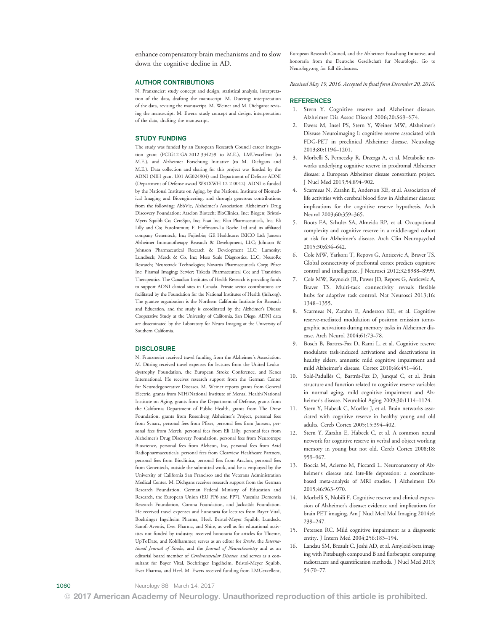enhance compensatory brain mechanisms and to slow down the cognitive decline in AD.

#### AUTHOR CONTRIBUTIONS

N. Franzmeier: study concept and design, statistical analysis, interpretation of the data, drafting the manuscript. M. Duering: interpretation of the data, revising the manuscript. M. Weiner and M. Dichgans: revising the manuscript. M. Ewers: study concept and design, interpretation of the data, drafting the manuscript.

#### STUDY FUNDING

The study was funded by an European Research Council career integration grant (PCIG12-GA-2012-334259 to M.E.), LMUexcellent (to M.E.), and Alzheimer Forschung Initiative (to M. Dichgans and M.E.). Data collection and sharing for this project was funded by the ADNI (NIH grant U01 AG024904) and Department of Defense ADNI (Department of Defense award W81XWH-12-2-0012). ADNI is funded by the National Institute on Aging, by the National Institute of Biomedical Imaging and Bioengineering, and through generous contributions from the following: AbbVie, Alzheimer's Association; Alzheimer's Drug Discovery Foundation; Araclon Biotech; BioClinica, Inc; Biogen; Bristol-Myers Squibb Co; CereSpir, Inc; Eisai Inc; Elan Pharmaceuticals, Inc; Eli Lilly and Co; EuroImmun; F. Hoffmann-La Roche Ltd and its affiliated company Genentech, Inc; Fujirebio; GE Healthcare; IXICO Ltd; Janssen Alzheimer Immunotherapy Research & Development, LLC; Johnson & Johnson Pharmaceutical Research & Development LLC; Lumosity; Lundbeck; Merck & Co, Inc; Meso Scale Diagnostics, LLC; NeuroRx Research; Neurotrack Technologies; Novartis Pharmaceuticals Corp; Pfizer Inc; Piramal Imaging; Servier; Takeda Pharmaceutical Co; and Transition Therapeutics. The Canadian Institutes of Health Research is providing funds to support ADNI clinical sites in Canada. Private sector contributions are facilitated by the Foundation for the National Institutes of Health ([fnih.org\)](http://www.fnih.org). The grantee organization is the Northern California Institute for Research and Education, and the study is coordinated by the Alzheimer's Disease Cooperative Study at the University of California, San Diego. ADNI data are disseminated by the Laboratory for Neuro Imaging at the University of Southern California.

#### **DISCLOSURE**

N. Franzmeier received travel funding from the Alzheimer's Association. M. Düring received travel expenses for lectures from the United Leukodystrophy Foundation, the European Stroke Conference, and Kenes International. He receives research support from the German Center for Neurodegenerative Diseases. M. Weiner reports grants from General Electric, grants from NIH/National Institute of Mental Health/National Institute on Aging, grants from the Department of Defense, grants from the California Department of Public Health, grants from The Drew Foundation, grants from Rosenberg Alzheimer's Project, personal fees from Synarc, personal fees from Pfizer, personal fees from Janssen, personal fees from Merck, personal fees from Eli Lilly, personal fees from Alzheimer's Drug Discovery Foundation, personal fees from Neurotrope Bioscience, personal fees from Alzheon, Inc, personal fees from Avid Radiopharmaceuticals, personal fees from Clearview Healthcare Partners, personal fees from Bioclinica, personal fees from Araclon, personal fees from Genentech, outside the submitted work, and he is employed by the University of California San Francisco and the Veterans Administration Medical Center. M. Dichgans receives research support from the German Research Foundation, German Federal Ministry of Education and Research, the European Union (EU FP6 and FP7), Vascular Dementia Research Foundation, Corona Foundation, and Jackstädt Foundation. He received travel expenses and honoraria for lectures from Bayer Vital, Boehringer Ingelheim Pharma, Heel, Bristol-Meyer Squibb, Lundeck, Sanofi-Aventis, Ever Pharma, and Shire, as well as for educational activities not funded by industry; received honoraria for articles for Thieme, UpToDate, and Kohlhammer; serves as an editor for Stroke, the International Journal of Stroke, and the Journal of Neurochemistry and as an editorial board member of Cerebrovascular Diseases; and serves as a consultant for Bayer Vital, Boehringer Ingelheim, Bristol-Meyer Squibb, Ever Pharma, and Heel. M. Ewers received funding from LMUexcellent, European Research Council, and the Alzheimer Forschung Initiative, and honoraria from the Deutsche Gesellschaft für Neurologie. Go to [Neurology.org](http://neurology.org/lookup/doi/.1212/WNL.0000000000003711) for full disclosures.

Received May 19, 2016. Accepted in final form December 20, 2016.

#### **REFERENCES**

- 1. Stern Y. Cognitive reserve and Alzheimer disease. Alzheimer Dis Assoc Disord 2006;20:S69–S74.
- 2. Ewers M, Insel PS, Stern Y, Weiner MW, Alzheimer's Disease Neuroimaging I: cognitive reserve associated with FDG-PET in preclinical Alzheimer disease. Neurology 2013;80:1194–1201.
- 3. Morbelli S, Perneczky R, Drzezga A, et al. Metabolic networks underlying cognitive reserve in prodromal Alzheimer disease: a European Alzheimer disease consortium project. J Nucl Med 2013;54:894–902.
- 4. Scarmeas N, Zarahn E, Anderson KE, et al. Association of life activities with cerebral blood flow in Alzheimer disease: implications for the cognitive reserve hypothesis. Arch Neurol 2003;60:359–365.
- 5. Boots EA, Schultz SA, Almeida RP, et al. Occupational complexity and cognitive reserve in a middle-aged cohort at risk for Alzheimer's disease. Arch Clin Neuropsychol 2015;30:634–642.
- 6. Cole MW, Yarkoni T, Repovs G, Anticevic A, Braver TS. Global connectivity of prefrontal cortex predicts cognitive control and intelligence. J Neurosci 2012;32:8988–8999.
- 7. Cole MW, Reynolds JR, Power JD, Repovs G, Anticevic A, Braver TS. Multi-task connectivity reveals flexible hubs for adaptive task control. Nat Neurosci 2013;16: 1348–1355.
- 8. Scarmeas N, Zarahn E, Anderson KE, et al. Cognitive reserve-mediated modulation of positron emission tomographic activations during memory tasks in Alzheimer disease. Arch Neurol 2004;61:73–78.
- 9. Bosch B, Bartres-Faz D, Rami L, et al. Cognitive reserve modulates task-induced activations and deactivations in healthy elders, amnestic mild cognitive impairment and mild Alzheimer's disease. Cortex 2010;46:451–461.
- 10. Solé-Padullés C, Bartrés-Faz D, Junqué C, et al. Brain structure and function related to cognitive reserve variables in normal aging, mild cognitive impairment and Alzheimer's disease. Neurobiol Aging 2009;30:1114–1124.
- 11. Stern Y, Habeck C, Moeller J, et al. Brain networks associated with cognitive reserve in healthy young and old adults. Cereb Cortex 2005;15:394–402.
- 12. Stern Y, Zarahn E, Habeck C, et al. A common neural network for cognitive reserve in verbal and object working memory in young but not old. Cereb Cortex 2008;18: 959–967.
- 13. Boccia M, Acierno M, Piccardi L. Neuroanatomy of Alzheimer's disease and late-life depression: a coordinatebased meta-analysis of MRI studies. J Alzheimers Dis 2015;46:963–970.
- 14. Morbelli S, Nobili F. Cognitive reserve and clinical expression of Alzheimer's disease: evidence and implications for brain PET imaging. Am J Nucl Med Mol Imaging 2014;4: 239–247.
- 15. Petersen RC. Mild cognitive impairment as a diagnostic entity. J Intern Med 2004;256:183–194.
- 16. Landau SM, Breault C, Joshi AD, et al. Amyloid-beta imaging with Pittsburgh compound B and florbetapir: comparing radiotracers and quantification methods. J Nucl Med 2013; 54:70–77.